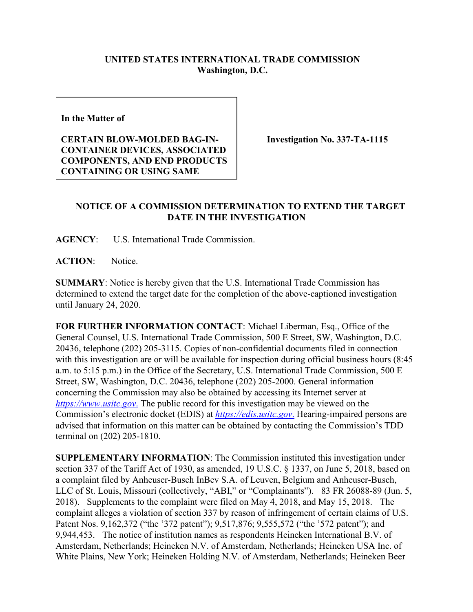## **UNITED STATES INTERNATIONAL TRADE COMMISSION Washington, D.C.**

**In the Matter of** 

## **CERTAIN BLOW-MOLDED BAG-IN-CONTAINER DEVICES, ASSOCIATED COMPONENTS, AND END PRODUCTS CONTAINING OR USING SAME**

**Investigation No. 337-TA-1115**

## **NOTICE OF A COMMISSION DETERMINATION TO EXTEND THE TARGET DATE IN THE INVESTIGATION**

**AGENCY**: U.S. International Trade Commission.

**ACTION**: Notice.

**SUMMARY**: Notice is hereby given that the U.S. International Trade Commission has determined to extend the target date for the completion of the above-captioned investigation until January 24, 2020.

**FOR FURTHER INFORMATION CONTACT**: Michael Liberman, Esq., Office of the General Counsel, U.S. International Trade Commission, 500 E Street, SW, Washington, D.C. 20436, telephone (202) 205-3115. Copies of non-confidential documents filed in connection with this investigation are or will be available for inspection during official business hours (8:45 a.m. to 5:15 p.m.) in the Office of the Secretary, U.S. International Trade Commission, 500 E Street, SW, Washington, D.C. 20436, telephone (202) 205-2000. General information concerning the Commission may also be obtained by accessing its Internet server at *[https://www.usitc.gov](https://www.usitc.gov./)*. The public record for this investigation may be viewed on the Commission's electronic docket (EDIS) at *[https://edis.usitc.gov](https://edis.usitc.gov./)*. Hearing-impaired persons are advised that information on this matter can be obtained by contacting the Commission's TDD terminal on (202) 205-1810.

**SUPPLEMENTARY INFORMATION**: The Commission instituted this investigation under section 337 of the Tariff Act of 1930, as amended, 19 U.S.C. § 1337, on June 5, 2018, based on a complaint filed by Anheuser-Busch InBev S.A. of Leuven, Belgium and Anheuser-Busch, LLC of St. Louis, Missouri (collectively, "ABI," or "Complainants"). 83 FR 26088-89 (Jun. 5, 2018). Supplements to the complaint were filed on May 4, 2018, and May 15, 2018. The complaint alleges a violation of section 337 by reason of infringement of certain claims of U.S. Patent Nos. 9,162,372 ("the '372 patent"); 9,517,876; 9,555,572 ("the '572 patent"); and 9,944,453. The notice of institution names as respondents Heineken International B.V. of Amsterdam, Netherlands; Heineken N.V. of Amsterdam, Netherlands; Heineken USA Inc. of White Plains, New York; Heineken Holding N.V. of Amsterdam, Netherlands; Heineken Beer